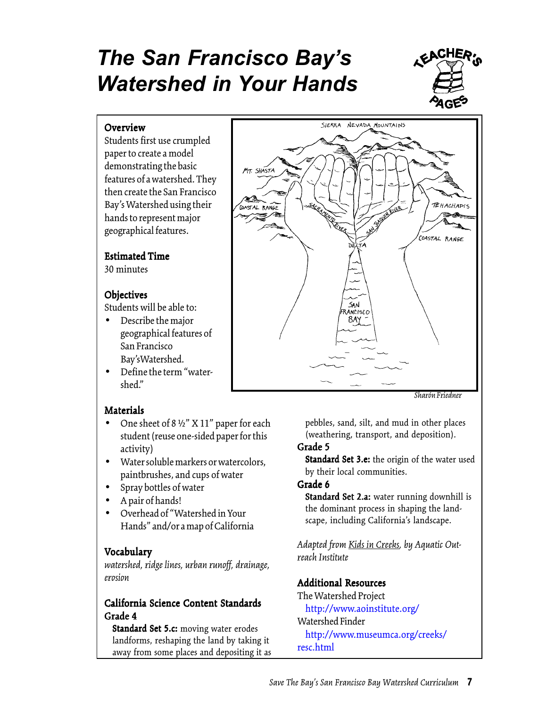# *The San Francisco Bay's Watershed in Your Hands*



#### **Overview**

Students first use crumpled paper to create a model demonstrating the basic features of a watershed. They then create the San Francisco Bay's Watershed using their hands to represent major geographical features.

#### **Estimated Time**

30 minutes

#### **Objectives**

Students will be able to:

- Describe the major geographical features of San Francisco Bay'sWatershed.
- Define the term "watershed."

# **Materials**

- One sheet of 8 ½" X 11" paper for each student (reuse one-sided paper for this activity)
- Water soluble markers or watercolors, paintbrushes, and cups of water
- Spray bottles of water
- A pair of hands!
- Overhead of "Watershed in Your Hands" and/or a map of California

# Vocabulary

*watershed, ridge lines, urban runoff, drainage, erosion*

# California Science Content Standards Grade 4

Standard Set 5.c: moving water erodes landforms, reshaping the land by taking it away from some places and depositing it as



*Sharón Friedner*

pebbles, sand, silt, and mud in other places (weathering, transport, and deposition).

# Grade 5

Standard Set 3.e: the origin of the water used by their local communities.

# Grade 6

Standard Set 2.a: water running downhill is the dominant process in shaping the landscape, including California's landscape.

*Adapted from Kids in Creeks, by Aquatic Outreach Institute*

# Additional Resources

The Watershed Project <http://www.aoinstitute.org/> Watershed Finder <http://www.museumca.org/creeks/> resc.html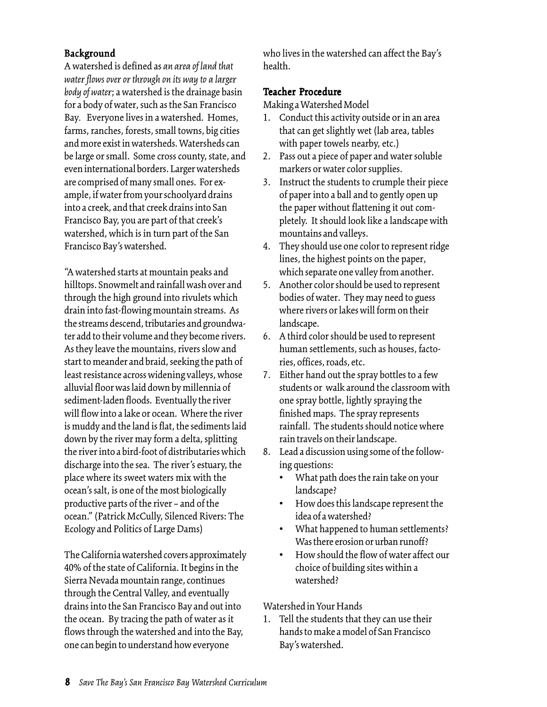#### Background

A watershed is defined as *an area of land that water flows over or through on its way to a larger body of water*; a watershed is the drainage basin for a body of water, such as the San Francisco Bay*.* Everyone lives in a watershed. Homes, farms, ranches, forests, small towns, big cities and more exist in watersheds. Watersheds can be large or small. Some cross county, state, and even international borders. Larger watersheds are comprised of many small ones. For example, if water from your schoolyard drains into a creek, and that creek drains into San Francisco Bay, you are part of that creek's watershed, which is in turn part of the San Francisco Bay's watershed.

"A watershed starts at mountain peaks and hilltops. Snowmelt and rainfall wash over and through the high ground into rivulets which drain into fast-flowing mountain streams. As the streams descend, tributaries and groundwater add to their volume and they become rivers. As they leave the mountains, rivers slow and start to meander and braid, seeking the path of least resistance across widening valleys, whose alluvial floor was laid down by millennia of sediment-laden floods. Eventually the river will flow into a lake or ocean. Where the river is muddy and the land is flat, the sediments laid down by the river may form a delta, splitting the river into a bird-foot of distributaries which discharge into the sea. The river's estuary, the place where its sweet waters mix with the ocean's salt, is one of the most biologically productive parts of the river – and of the ocean." (Patrick McCully, Silenced Rivers: The Ecology and Politics of Large Dams)

The California watershed covers approximately 40% of the state of California. It begins in the Sierra Nevada mountain range, continues through the Central Valley, and eventually drains into the San Francisco Bay and out into the ocean. By tracing the path of water as it flows through the watershed and into the Bay, one can begin to understand how everyone

who lives in the watershed can affect the Bay's health.

#### Teacher Procedure

Making a Watershed Model

- 1. Conduct this activity outside or in an area that can get slightly wet (lab area, tables with paper towels nearby, etc.)
- 2. Pass out a piece of paper and water soluble markers or water color supplies.
- 3. Instruct the students to crumple their piece of paper into a ball and to gently open up the paper without flattening it out completely. It should look like a landscape with mountains and valleys.
- 4. They should use one color to represent ridge lines, the highest points on the paper, which separate one valley from another.
- 5. Another color should be used to represent bodies of water. They may need to guess where rivers or lakes will form on their landscape.
- 6. A third color should be used to represent human settlements, such as houses, factories, offices, roads, etc.
- 7. Either hand out the spray bottles to a few students or walk around the classroom with one spray bottle, lightly spraying the finished maps. The spray represents rainfall. The students should notice where rain travels on their landscape.
- 8. Lead a discussion using some of the following questions:
	- What path does the rain take on your landscape?
	- How does this landscape represent the idea of a watershed?
	- What happened to human settlements? Was there erosion or urban runoff?
	- How should the flow of water affect our choice of building sites within a watershed?

Watershed in Your Hands

1. Tell the students that they can use their hands to make a model of San Francisco Bay's watershed.